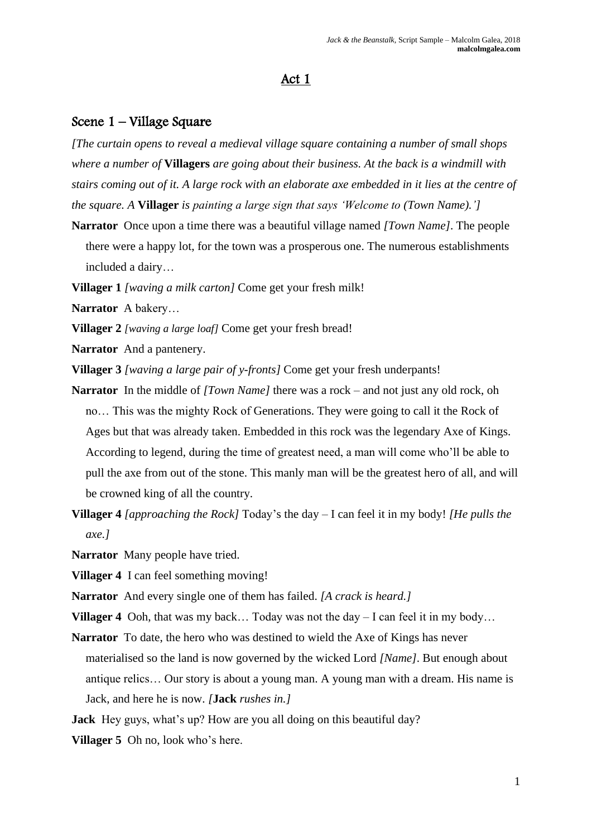## Act 1

## Scene 1 – Village Square

*[The curtain opens to reveal a medieval village square containing a number of small shops where a number of* **Villagers** *are going about their business. At the back is a windmill with stairs coming out of it. A large rock with an elaborate axe embedded in it lies at the centre of the square. A* **Villager** *is painting a large sign that says 'Welcome to (Town Name).']*

**Narrator** Once upon a time there was a beautiful village named *[Town Name]*. The people there were a happy lot, for the town was a prosperous one. The numerous establishments included a dairy…

**Villager 1** *[waving a milk carton]* Come get your fresh milk!

**Narrator** A bakery…

**Villager 2** *[waving a large loaf]* Come get your fresh bread!

**Narrator** And a pantenery.

**Villager 3** *[waving a large pair of y-fronts]* Come get your fresh underpants!

- **Narrator** In the middle of *[Town Name]* there was a rock and not just any old rock, oh no… This was the mighty Rock of Generations. They were going to call it the Rock of Ages but that was already taken. Embedded in this rock was the legendary Axe of Kings. According to legend, during the time of greatest need, a man will come who'll be able to pull the axe from out of the stone. This manly man will be the greatest hero of all, and will be crowned king of all the country.
- **Villager 4** *[approaching the Rock]* Today's the day I can feel it in my body! *[He pulls the axe.]*

**Narrator** Many people have tried.

**Villager 4** I can feel something moving!

**Narrator** And every single one of them has failed. *[A crack is heard.]*

**Villager 4** Ooh, that was my back... Today was not the day – I can feel it in my body...

- **Narrator** To date, the hero who was destined to wield the Axe of Kings has never materialised so the land is now governed by the wicked Lord *[Name]*. But enough about antique relics… Our story is about a young man. A young man with a dream. His name is Jack, and here he is now. *[***Jack** *rushes in.]*
- **Jack** Hey guys, what's up? How are you all doing on this beautiful day?
- **Villager 5** Oh no, look who's here.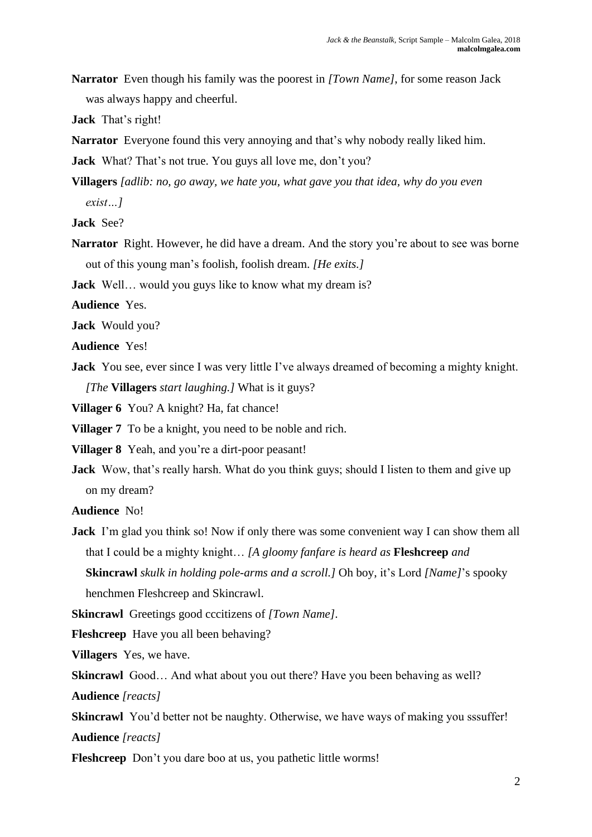**Narrator** Even though his family was the poorest in *[Town Name]*, for some reason Jack was always happy and cheerful.

**Jack** That's right!

**Narrator** Everyone found this very annoying and that's why nobody really liked him.

**Jack** What? That's not true. You guys all love me, don't you?

**Villagers** *[adlib: no, go away, we hate you, what gave you that idea, why do you even exist…]*

**Jack** See?

**Narrator** Right. However, he did have a dream. And the story you're about to see was borne out of this young man's foolish, foolish dream. *[He exits.]*

**Jack** Well… would you guys like to know what my dream is?

**Audience** Yes.

**Jack** Would you?

**Audience** Yes!

**Jack** You see, ever since I was very little I've always dreamed of becoming a mighty knight. *[The* **Villagers** *start laughing.]* What is it guys?

**Villager 6** You? A knight? Ha, fat chance!

**Villager 7** To be a knight, you need to be noble and rich.

**Villager 8** Yeah, and you're a dirt-poor peasant!

**Jack** Wow, that's really harsh. What do you think guys; should I listen to them and give up on my dream?

**Audience** No!

**Jack** I'm glad you think so! Now if only there was some convenient way I can show them all that I could be a mighty knight… *[A gloomy fanfare is heard as* **Fleshcreep** *and*  **Skincrawl** *skulk in holding pole-arms and a scroll.]* Oh boy, it's Lord *[Name]*'s spooky henchmen Fleshcreep and Skincrawl.

**Skincrawl** Greetings good cccitizens of *[Town Name]*.

**Fleshcreep** Have you all been behaving?

**Villagers** Yes, we have.

**Skincrawl** Good... And what about you out there? Have you been behaving as well?

**Audience** *[reacts]*

**Skincrawl** You'd better not be naughty. Otherwise, we have ways of making you sssuffer! **Audience** *[reacts]*

**Fleshcreep** Don't you dare boo at us, you pathetic little worms!